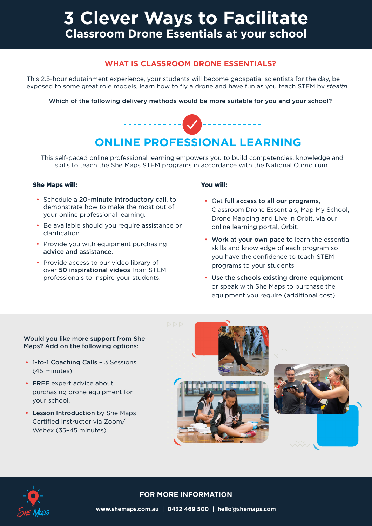# **3 Clever Ways to Facilitate Classroom Drone Essentials at your school**

# **WHAT IS CLASSROOM DRONE ESSENTIALS?**

This 2.5-hour edutainment experience, your students will become geospatial scientists for the day, be exposed to some great role models, learn how to fly a drone and have fun as you teach STEM by *stealth*.

# Which of the following delivery methods would be more suitable for you and your school?



This self-paced online professional learning empowers you to build competencies, knowledge and skills to teach the She Maps STEM programs in accordance with the National Curriculum.

## She Maps will:

- Schedule a 20–minute introductory call, to demonstrate how to make the most out of your online professional learning.
- Be available should you require assistance or clarification.
- Provide you with equipment purchasing advice and assistance.
- Provide access to our video library of over 50 inspirational videos from STEM professionals to inspire your students.

#### You will:

- Get full access to all our programs, Classroom Drone Essentials, Map My School, Drone Mapping and Live in Orbit, via our online learning portal, Orbit.
- Work at your own pace to learn the essential skills and knowledge of each program so you have the confidence to teach STEM programs to your students.
- Use the schools existing drone equipment or speak with She Maps to purchase the equipment you require (additional cost).

## Would you like more support from She Maps? Add on the following options:

- 1-to-1 Coaching Calls 3 Sessions (45 minutes)
- FREE expert advice about purchasing drone equipment for your school.
- Lesson Introduction by She Maps Certified Instructor via Zoom/ Webex (35–45 minutes).





# **FOR MORE INFORMATION**

**www.shemaps.com.au | 0432 469 500 | hello@shemaps.com**